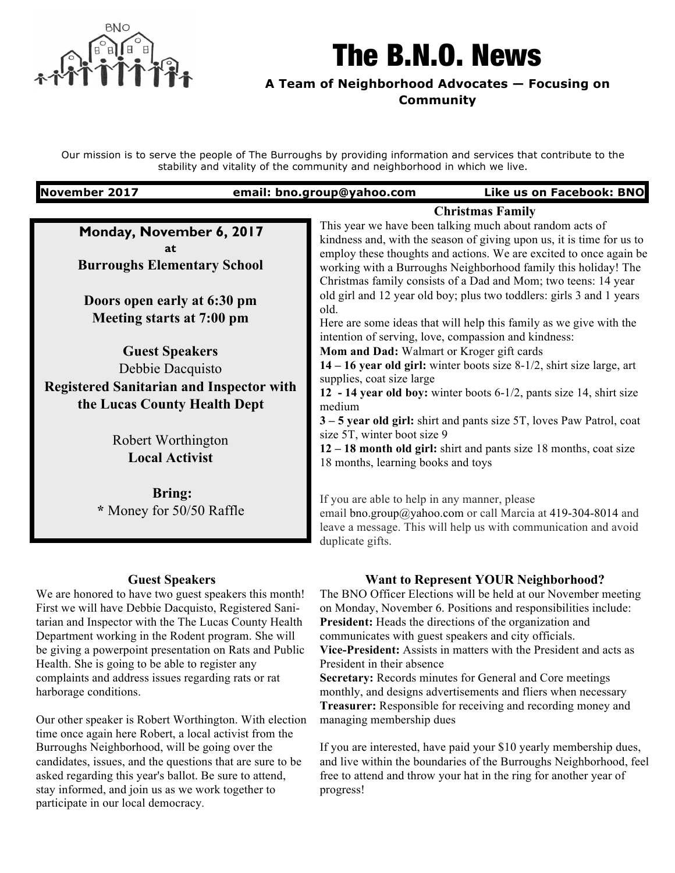

# The B.N.O. News

# **A Team of Neighborhood Advocates — Focusing on Community**

Our mission is to serve the people of The Burroughs by providing information and services that contribute to the stability and vitality of the community and neighborhood in which we live.

| <b>November 2017</b>                                                                                                      | email: bno.group@yahoo.com<br>Like us on Facebook: BNO                                                                                                                                                                                                                                                                                                            |
|---------------------------------------------------------------------------------------------------------------------------|-------------------------------------------------------------------------------------------------------------------------------------------------------------------------------------------------------------------------------------------------------------------------------------------------------------------------------------------------------------------|
| <b>Christmas Family</b>                                                                                                   |                                                                                                                                                                                                                                                                                                                                                                   |
| Monday, November 6, 2017<br>at<br><b>Burroughs Elementary School</b>                                                      | This year we have been talking much about random acts of<br>kindness and, with the season of giving upon us, it is time for us to<br>employ these thoughts and actions. We are excited to once again be<br>working with a Burroughs Neighborhood family this holiday! The<br>Christmas family consists of a Dad and Mom; two teens: 14 year                       |
| Doors open early at 6:30 pm<br>Meeting starts at 7:00 pm                                                                  | old girl and 12 year old boy; plus two toddlers: girls 3 and 1 years<br>old.<br>Here are some ideas that will help this family as we give with the<br>intention of serving, love, compassion and kindness:                                                                                                                                                        |
| <b>Guest Speakers</b>                                                                                                     | Mom and Dad: Walmart or Kroger gift cards                                                                                                                                                                                                                                                                                                                         |
| Debbie Dacquisto<br><b>Registered Sanitarian and Inspector with</b><br>the Lucas County Health Dept<br>Robert Worthington | $14 - 16$ year old girl: winter boots size 8-1/2, shirt size large, art<br>supplies, coat size large<br>12 - 14 year old boy: winter boots 6-1/2, pants size 14, shirt size<br>medium<br>3 – 5 year old girl: shirt and pants size 5T, loves Paw Patrol, coat<br>size 5T, winter boot size 9<br>12 – 18 month old girl: shirt and pants size 18 months, coat size |
| <b>Local Activist</b>                                                                                                     | 18 months, learning books and toys                                                                                                                                                                                                                                                                                                                                |
| <b>Bring:</b><br>* Money for 50/50 Raffle                                                                                 | If you are able to help in any manner, please<br>email bno.group@yahoo.com or call Marcia at 419-304-8014 and<br>leave a message. This will help us with communication and avoid<br>duplicate gifts.                                                                                                                                                              |

## **Guest Speakers**

We are honored to have two guest speakers this month! First we will have Debbie Dacquisto, Registered Sanitarian and Inspector with the The Lucas County Health Department working in the Rodent program. She will be giving a powerpoint presentation on Rats and Public Health. She is going to be able to register any complaints and address issues regarding rats or rat harborage conditions.

Our other speaker is Robert Worthington. With election time once again here Robert, a local activist from the Burroughs Neighborhood, will be going over the candidates, issues, and the questions that are sure to be asked regarding this year's ballot. Be sure to attend, stay informed, and join us as we work together to participate in our local democracy.

## **Want to Represent YOUR Neighborhood?**

The BNO Officer Elections will be held at our November meeting on Monday, November 6. Positions and responsibilities include: **President:** Heads the directions of the organization and communicates with guest speakers and city officials. **Vice-President:** Assists in matters with the President and acts as

President in their absence

**Secretary:** Records minutes for General and Core meetings monthly, and designs advertisements and fliers when necessary **Treasurer:** Responsible for receiving and recording money and managing membership dues

If you are interested, have paid your \$10 yearly membership dues, and live within the boundaries of the Burroughs Neighborhood, feel free to attend and throw your hat in the ring for another year of progress!